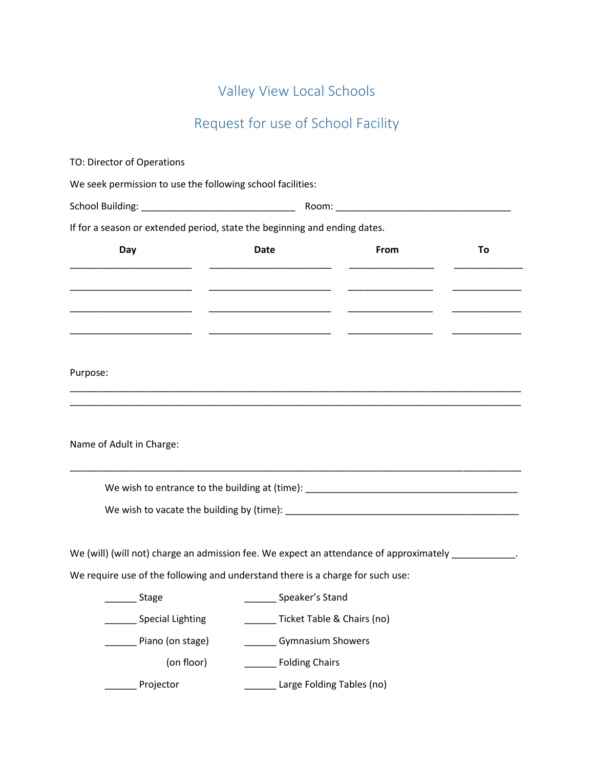## Valley View Local Schools

## Request for use of School Facility

| TO: Director of Operations                                                                          |                                                                                                                      |      |    |  |
|-----------------------------------------------------------------------------------------------------|----------------------------------------------------------------------------------------------------------------------|------|----|--|
| We seek permission to use the following school facilities:                                          |                                                                                                                      |      |    |  |
|                                                                                                     |                                                                                                                      |      |    |  |
| If for a season or extended period, state the beginning and ending dates.                           |                                                                                                                      |      |    |  |
| Day                                                                                                 | <b>Date</b>                                                                                                          | From | To |  |
|                                                                                                     |                                                                                                                      |      |    |  |
|                                                                                                     |                                                                                                                      |      |    |  |
|                                                                                                     |                                                                                                                      |      |    |  |
|                                                                                                     |                                                                                                                      |      |    |  |
| Purpose:                                                                                            |                                                                                                                      |      |    |  |
|                                                                                                     | <u> 1989 - Johann John Harry Harry Harry Harry Harry Harry Harry Harry Harry Harry Harry Harry Harry Harry Harry</u> |      |    |  |
|                                                                                                     |                                                                                                                      |      |    |  |
| Name of Adult in Charge:                                                                            |                                                                                                                      |      |    |  |
|                                                                                                     |                                                                                                                      |      |    |  |
|                                                                                                     |                                                                                                                      |      |    |  |
|                                                                                                     |                                                                                                                      |      |    |  |
| We (will) (will not) charge an admission fee. We expect an attendance of approximately ___________. |                                                                                                                      |      |    |  |
| We require use of the following and understand there is a charge for such use:                      |                                                                                                                      |      |    |  |
| Stage                                                                                               | Speaker's Stand                                                                                                      |      |    |  |
| ___ Special Lighting                                                                                | Ticket Table & Chairs (no)                                                                                           |      |    |  |
| Piano (on stage)                                                                                    | <b>Gymnasium Showers</b>                                                                                             |      |    |  |
| (on floor)                                                                                          | Folding Chairs                                                                                                       |      |    |  |
| _______ Projector                                                                                   | Large Folding Tables (no)                                                                                            |      |    |  |
|                                                                                                     |                                                                                                                      |      |    |  |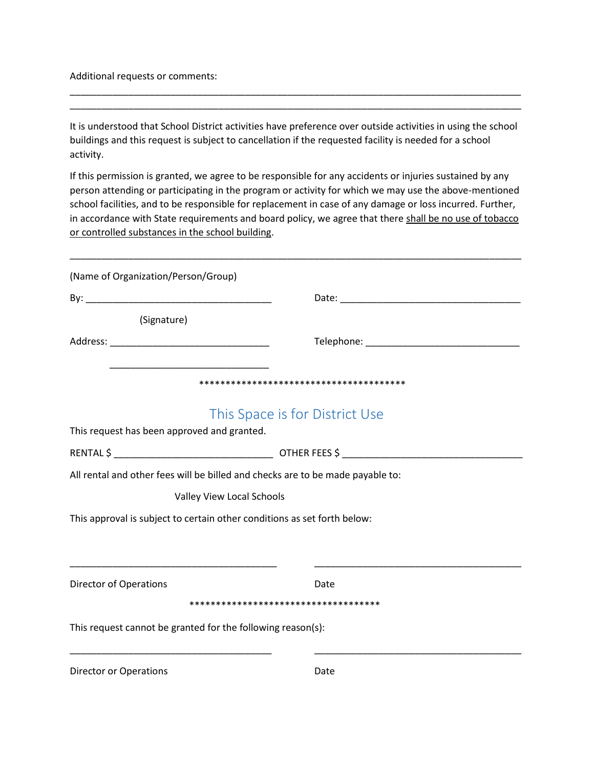Additional requests or comments:

It is understood that School District activities have preference over outside activities in using the school buildings and this request is subject to cancellation if the requested facility is needed for a school activity.

\_\_\_\_\_\_\_\_\_\_\_\_\_\_\_\_\_\_\_\_\_\_\_\_\_\_\_\_\_\_\_\_\_\_\_\_\_\_\_\_\_\_\_\_\_\_\_\_\_\_\_\_\_\_\_\_\_\_\_\_\_\_\_\_\_\_\_\_\_\_\_\_\_\_\_\_\_\_\_\_\_\_\_\_\_ \_\_\_\_\_\_\_\_\_\_\_\_\_\_\_\_\_\_\_\_\_\_\_\_\_\_\_\_\_\_\_\_\_\_\_\_\_\_\_\_\_\_\_\_\_\_\_\_\_\_\_\_\_\_\_\_\_\_\_\_\_\_\_\_\_\_\_\_\_\_\_\_\_\_\_\_\_\_\_\_\_\_\_\_\_

If this permission is granted, we agree to be responsible for any accidents or injuries sustained by any person attending or participating in the program or activity for which we may use the above-mentioned school facilities, and to be responsible for replacement in case of any damage or loss incurred. Further, in accordance with State requirements and board policy, we agree that there shall be no use of tobacco or controlled substances in the school building.

| (Name of Organization/Person/Group)                         |                                                                                |  |  |
|-------------------------------------------------------------|--------------------------------------------------------------------------------|--|--|
|                                                             |                                                                                |  |  |
| (Signature)                                                 |                                                                                |  |  |
|                                                             | Telephone: Telephone:                                                          |  |  |
|                                                             |                                                                                |  |  |
|                                                             | This Space is for District Use                                                 |  |  |
| This request has been approved and granted.                 |                                                                                |  |  |
|                                                             |                                                                                |  |  |
|                                                             | All rental and other fees will be billed and checks are to be made payable to: |  |  |
|                                                             | Valley View Local Schools                                                      |  |  |
|                                                             | This approval is subject to certain other conditions as set forth below:       |  |  |
|                                                             |                                                                                |  |  |
| <b>Director of Operations</b>                               | Date                                                                           |  |  |
|                                                             | *************************************                                          |  |  |
| This request cannot be granted for the following reason(s): |                                                                                |  |  |
|                                                             |                                                                                |  |  |

Director or Operations **Date**